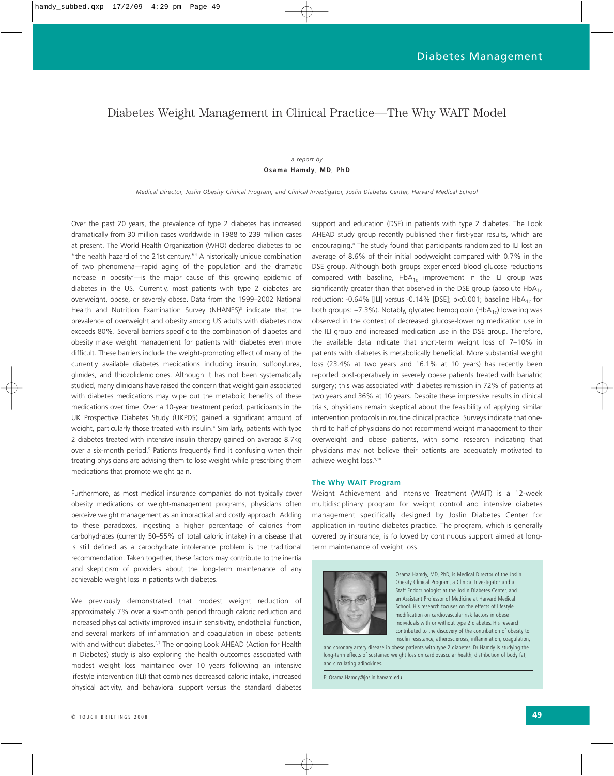# Diabetes Weight Management in Clinical Practice—The Why WAIT Model

# *a report by*  **Osama Hamdy***,* **MD***,* **PhD**

*Medical Director, Joslin Obesity Clinical Program, and Clinical Investigator, Joslin Diabetes Center, Harvard Medical School*

Over the past 20 years, the prevalence of type 2 diabetes has increased dramatically from 30 million cases worldwide in 1988 to 239 million cases at present. The World Health Organization (WHO) declared diabetes to be "the health hazard of the 21st century."1 A historically unique combination of two phenomena—rapid aging of the population and the dramatic increase in obesity<sup>2</sup>—is the major cause of this growing epidemic of diabetes in the US. Currently, most patients with type 2 diabetes are overweight, obese, or severely obese. Data from the 1999–2002 National Health and Nutrition Examination Survey (NHANES)<sup>3</sup> indicate that the prevalence of overweight and obesity among US adults with diabetes now exceeds 80%. Several barriers specific to the combination of diabetes and obesity make weight management for patients with diabetes even more difficult. These barriers include the weight-promoting effect of many of the currently available diabetes medications including insulin, sulfonylurea, glinides, and thiozolidenidiones. Although it has not been systematically studied, many clinicians have raised the concern that weight gain associated with diabetes medications may wipe out the metabolic benefits of these medications over time. Over a 10-year treatment period, participants in the UK Prospective Diabetes Study (UKPDS) gained a significant amount of weight, particularly those treated with insulin.<sup>4</sup> Similarly, patients with type 2 diabetes treated with intensive insulin therapy gained on average 8.7kg over a six-month period.<sup>5</sup> Patients frequently find it confusing when their treating physicians are advising them to lose weight while prescribing them medications that promote weight gain.

Furthermore, as most medical insurance companies do not typically cover obesity medications or weight-management programs, physicians often perceive weight management as an impractical and costly approach. Adding to these paradoxes, ingesting a higher percentage of calories from carbohydrates (currently 50–55% of total caloric intake) in a disease that is still defined as a carbohydrate intolerance problem is the traditional recommendation. Taken together, these factors may contribute to the inertia and skepticism of providers about the long-term maintenance of any achievable weight loss in patients with diabetes.

We previously demonstrated that modest weight reduction of approximately 7% over a six-month period through caloric reduction and increased physical activity improved insulin sensitivity, endothelial function, and several markers of inflammation and coagulation in obese patients with and without diabetes.<sup>6,7</sup> The ongoing Look AHEAD (Action for Health in Diabetes) study is also exploring the health outcomes associated with modest weight loss maintained over 10 years following an intensive lifestyle intervention (ILI) that combines decreased caloric intake, increased physical activity, and behavioral support versus the standard diabetes support and education (DSE) in patients with type 2 diabetes. The Look AHEAD study group recently published their first-year results, which are encouraging.8 The study found that participants randomized to ILI lost an average of 8.6% of their initial bodyweight compared with 0.7% in the DSE group. Although both groups experienced blood glucose reductions compared with baseline,  $HbA_{1c}$  improvement in the ILI group was significantly greater than that observed in the DSE group (absolute  $HbA_{1c}$ reduction: -0.64% [ILI] versus -0.14% [DSE]; p<0.001; baseline  $HbA_{1c}$  for both groups: ~7.3%). Notably, glycated hemoglobin (HbA<sub>1c</sub>) lowering was observed in the context of decreased glucose-lowering medication use in the ILI group and increased medication use in the DSE group. Therefore, the available data indicate that short-term weight loss of 7–10% in patients with diabetes is metabolically beneficial. More substantial weight loss (23.4% at two years and 16.1% at 10 years) has recently been reported post-operatively in severely obese patients treated with bariatric surgery; this was associated with diabetes remission in 72% of patients at two years and 36% at 10 years. Despite these impressive results in clinical trials, physicians remain skeptical about the feasibility of applying similar intervention protocols in routine clinical practice. Surveys indicate that onethird to half of physicians do not recommend weight management to their overweight and obese patients, with some research indicating that physicians may not believe their patients are adequately motivated to achieve weight loss.<sup>9,10</sup>

#### **The Why WAIT Program**

Weight Achievement and Intensive Treatment (WAIT) is a 12-week multidisciplinary program for weight control and intensive diabetes management specifically designed by Joslin Diabetes Center for application in routine diabetes practice. The program, which is generally covered by insurance, is followed by continuous support aimed at longterm maintenance of weight loss.



Osama Hamdy, MD, PhD, is Medical Director of the Joslin Obesity Clinical Program, a Clinical Investigator and a Staff Endocrinologist at the Joslin Diabetes Center, and an Assistant Professor of Medicine at Harvard Medical School. His research focuses on the effects of lifestyle modification on cardiovascular risk factors in obese individuals with or without type 2 diabetes. His research contributed to the discovery of the contribution of obesity to insulin resistance, atherosclerosis, inflammation, coagulation,

and coronary artery disease in obese patients with type 2 diabetes. Dr Hamdy is studying the long-term effects of sustained weight loss on cardiovascular health, distribution of body fat, and circulating adipokines.

E: Osama.Hamdy@joslin.harvard.edu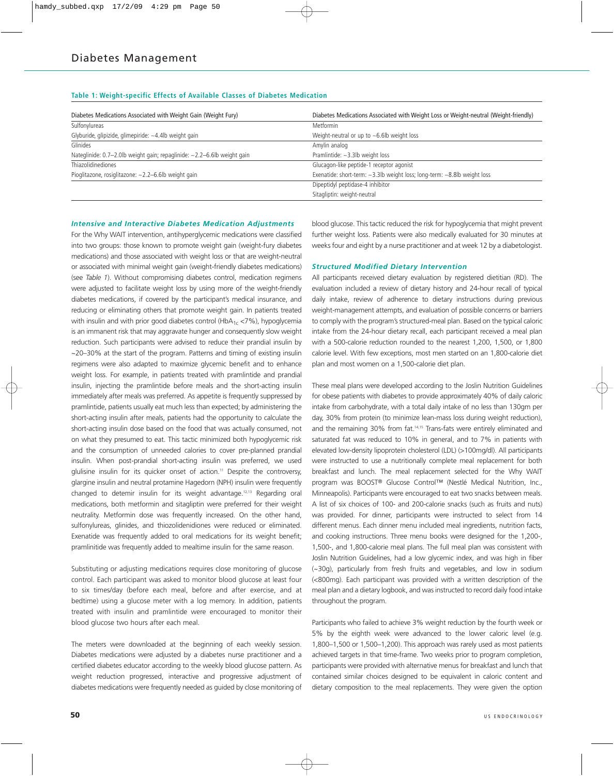# **Table 1: Weight-specific Effects of Available Classes of Diabetes Medication**

| Diabetes Medications Associated with Weight Gain (Weight Fury)                   | Diabetes Medications Associated with Weight Loss or Weight-neutral (Weight-friendly) |
|----------------------------------------------------------------------------------|--------------------------------------------------------------------------------------|
| Sulfonylureas                                                                    | Metformin                                                                            |
| Glyburide, glipizide, glimepiride: ~4.4lb weight gain                            | Weight-neutral or up to $\sim$ 6.6lb weight loss                                     |
| Glinides                                                                         | Amylin analog                                                                        |
| Nateglinide: $0.7-2.0$ lb weight gain; repaglinide: $\sim$ 2.2-6.6lb weight gain | Pramlintide: $\sim$ 3.3lb weight loss                                                |
| Thiazolidinediones                                                               | Glucagon-like peptide-1 receptor agonist                                             |
| Pioglitazone, rosiglitazone: ~2.2-6.6lb weight gain                              | Exenatide: short-term: $\sim$ 3.3lb weight loss; long-term: $\sim$ 8.8lb weight loss |
|                                                                                  | Dipeptidyl peptidase-4 inhibitor                                                     |
|                                                                                  | Sitagliptin: weight-neutral                                                          |

# *Intensive and Interactive Diabetes Medication Adjustments*

For the Why WAIT intervention, antihyperglycemic medications were classified into two groups: those known to promote weight gain (weight-fury diabetes medications) and those associated with weight loss or that are weight-neutral or associated with minimal weight gain (weight-friendly diabetes medications) (see *Table 1*). Without compromising diabetes control, medication regimens were adjusted to facilitate weight loss by using more of the weight-friendly diabetes medications, if covered by the participant's medical insurance, and reducing or eliminating others that promote weight gain. In patients treated with insulin and with prior good diabetes control (HbA $_{1c}$  <7%), hypoglycemia is an immanent risk that may aggravate hunger and consequently slow weight reduction. Such participants were advised to reduce their prandial insulin by ~20–30% at the start of the program. Patterns and timing of existing insulin regimens were also adapted to maximize glycemic benefit and to enhance weight loss. For example, in patients treated with pramlintide and prandial insulin, injecting the pramlintide before meals and the short-acting insulin immediately after meals was preferred. As appetite is frequently suppressed by pramlintide, patients usually eat much less than expected; by administering the short-acting insulin after meals, patients had the opportunity to calculate the short-acting insulin dose based on the food that was actually consumed, not on what they presumed to eat. This tactic minimized both hypoglycemic risk and the consumption of unneeded calories to cover pre-planned prandial insulin. When post-prandial short-acting insulin was preferred, we used glulisine insulin for its quicker onset of action.<sup>11</sup> Despite the controversy, glargine insulin and neutral protamine Hagedorn (NPH) insulin were frequently changed to detemir insulin for its weight advantage.12,13 Regarding oral medications, both metformin and sitagliptin were preferred for their weight neutrality. Metformin dose was frequently increased. On the other hand, sulfonylureas, glinides, and thiozolidenidiones were reduced or eliminated. Exenatide was frequently added to oral medications for its weight benefit; pramlinitide was frequently added to mealtime insulin for the same reason.

Substituting or adjusting medications requires close monitoring of glucose control. Each participant was asked to monitor blood glucose at least four to six times/day (before each meal, before and after exercise, and at bedtime) using a glucose meter with a log memory. In addition, patients treated with insulin and pramlintide were encouraged to monitor their blood glucose two hours after each meal.

The meters were downloaded at the beginning of each weekly session. Diabetes medications were adjusted by a diabetes nurse practitioner and a certified diabetes educator according to the weekly blood glucose pattern. As weight reduction progressed, interactive and progressive adjustment of diabetes medications were frequently needed as guided by close monitoring of blood glucose. This tactic reduced the risk for hypoglycemia that might prevent further weight loss. Patients were also medically evaluated for 30 minutes at weeks four and eight by a nurse practitioner and at week 12 by a diabetologist.

# *Structured Modified Dietary Intervention*

All participants received dietary evaluation by registered dietitian (RD). The evaluation included a review of dietary history and 24-hour recall of typical daily intake, review of adherence to dietary instructions during previous weight-management attempts, and evaluation of possible concerns or barriers to comply with the program's structured-meal plan. Based on the typical caloric intake from the 24-hour dietary recall, each participant received a meal plan with a 500-calorie reduction rounded to the nearest 1,200, 1,500, or 1,800 calorie level. With few exceptions, most men started on an 1,800-calorie diet plan and most women on a 1,500-calorie diet plan.

These meal plans were developed according to the Joslin Nutrition Guidelines for obese patients with diabetes to provide approximately 40% of daily caloric intake from carbohydrate, with a total daily intake of no less than 130gm per day, 30% from protein (to minimize lean-mass loss during weight reduction), and the remaining 30% from fat.14,15 Trans-fats were entirely eliminated and saturated fat was reduced to 10% in general, and to 7% in patients with elevated low-density lipoprotein cholesterol (LDL) (>100mg/dl). All participants were instructed to use a nutritionally complete meal replacement for both breakfast and lunch. The meal replacement selected for the Why WAIT program was BOOST® Glucose Control™ (Nestlé Medical Nutrition, Inc., Minneapolis). Participants were encouraged to eat two snacks between meals. A list of six choices of 100- and 200-calorie snacks (such as fruits and nuts) was provided. For dinner, participants were instructed to select from 14 different menus. Each dinner menu included meal ingredients, nutrition facts, and cooking instructions. Three menu books were designed for the 1,200-, 1,500-, and 1,800-calorie meal plans. The full meal plan was consistent with Joslin Nutrition Guidelines, had a low glycemic index, and was high in fiber (~30g), particularly from fresh fruits and vegetables, and low in sodium (<800mg). Each participant was provided with a written description of the meal plan and a dietary logbook, and was instructed to record daily food intake throughout the program.

Participants who failed to achieve 3% weight reduction by the fourth week or 5% by the eighth week were advanced to the lower caloric level (e.g. 1,800–1,500 or 1,500–1,200). This approach was rarely used as most patients achieved targets in that time-frame. Two weeks prior to program completion, participants were provided with alternative menus for breakfast and lunch that contained similar choices designed to be equivalent in caloric content and dietary composition to the meal replacements. They were given the option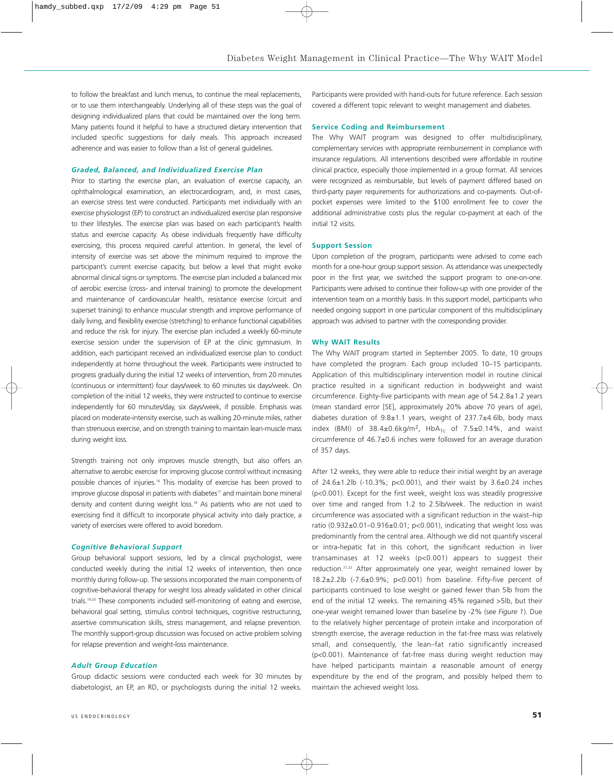to follow the breakfast and lunch menus, to continue the meal replacements, or to use them interchangeably. Underlying all of these steps was the goal of designing individualized plans that could be maintained over the long term. Many patients found it helpful to have a structured dietary intervention that included specific suggestions for daily meals. This approach increased adherence and was easier to follow than a list of general guidelines.

## *Graded, Balanced, and Individualized Exercise Plan*

Prior to starting the exercise plan, an evaluation of exercise capacity, an ophthalmological examination, an electrocardiogram, and, in most cases, an exercise stress test were conducted. Participants met individually with an exercise physiologist (EP) to construct an individualized exercise plan responsive to their lifestyles. The exercise plan was based on each participant's health status and exercise capacity. As obese individuals frequently have difficulty exercising, this process required careful attention. In general, the level of intensity of exercise was set above the minimum required to improve the participant's current exercise capacity, but below a level that might evoke abnormal clinical signs or symptoms. The exercise plan included a balanced mix of aerobic exercise (cross- and interval training) to promote the development and maintenance of cardiovascular health, resistance exercise (circuit and superset training) to enhance muscular strength and improve performance of daily living, and flexibility exercise (stretching) to enhance functional capabilities and reduce the risk for injury. The exercise plan included a weekly 60-minute exercise session under the supervision of EP at the clinic gymnasium. In addition, each participant received an individualized exercise plan to conduct independently at home throughout the week. Participants were instructed to progress gradually during the initial 12 weeks of intervention, from 20 minutes (continuous or intermittent) four days/week to 60 minutes six days/week. On completion of the initial 12 weeks, they were instructed to continue to exercise independently for 60 minutes/day, six days/week, if possible. Emphasis was placed on moderate-intensity exercise, such as walking 20-minute miles, rather than strenuous exercise, and on strength training to maintain lean-muscle mass during weight loss.

Strength training not only improves muscle strength, but also offers an alternative to aerobic exercise for improving glucose control without increasing possible chances of injuries.<sup>16</sup> This modality of exercise has been proved to improve glucose disposal in patients with diabetes<sup>17</sup> and maintain bone mineral density and content during weight loss.18 As patients who are not used to exercising find it difficult to incorporate physical activity into daily practice, a variety of exercises were offered to avoid boredom.

### *Cognitive Behavioral Support*

Group behavioral support sessions, led by a clinical psychologist, were conducted weekly during the initial 12 weeks of intervention, then once monthly during follow-up. The sessions incorporated the main components of cognitive-behavioral therapy for weight loss already validated in other clinical trials.19,20 These components included self-monitoring of eating and exercise, behavioral goal setting, stimulus control techniques, cognitive restructuring, assertive communication skills, stress management, and relapse prevention. The monthly support-group discussion was focused on active problem solving for relapse prevention and weight-loss maintenance.

#### *Adult Group Education*

Group didactic sessions were conducted each week for 30 minutes by diabetologist, an EP, an RD, or psychologists during the initial 12 weeks.

Participants were provided with hand-outs for future reference. Each session covered a different topic relevant to weight management and diabetes.

#### **Service Coding and Reimbursement**

The Why WAIT program was designed to offer multidisciplinary, complementary services with appropriate reimbursement in compliance with insurance regulations. All interventions described were affordable in routine clinical practice, especially those implemented in a group format. All services were recognized as reimbursable, but levels of payment differed based on third-party payer requirements for authorizations and co-payments. Out-ofpocket expenses were limited to the \$100 enrollment fee to cover the additional administrative costs plus the regular co-payment at each of the initial 12 visits.

#### **Support Session**

Upon completion of the program, participants were advised to come each month for a one-hour group support session. As attendance was unexpectedly poor in the first year, we switched the support program to one-on-one. Participants were advised to continue their follow-up with one provider of the intervention team on a monthly basis. In this support model, participants who needed ongoing support in one particular component of this multidisciplinary approach was advised to partner with the corresponding provider.

#### **Why WAIT Results**

The Why WAIT program started in September 2005. To date, 10 groups have completed the program. Each group included 10–15 participants. Application of this multidisciplinary intervention model in routine clinical practice resulted in a significant reduction in bodyweight and waist circumference. Eighty-five participants with mean age of 54.2.8±1.2 years (mean standard error [SE], approximately 20% above 70 years of age), diabetes duration of 9.8±1.1 years, weight of 237.7±4.6lb, body mass index (BMI) of  $38.4\pm0.6$ kg/m<sup>2</sup>, HbA<sub>1c</sub> of 7.5 $\pm$ 0.14%, and waist circumference of 46.7±0.6 inches were followed for an average duration of 357 days.

After 12 weeks, they were able to reduce their initial weight by an average of 24.6±1.2lb (-10.3%; p<0.001), and their waist by 3.6±0.24 inches (p<0.001). Except for the first week, weight loss was steadily progressive over time and ranged from 1.2 to 2.5lb/week. The reduction in waist circumference was associated with a significant reduction in the waist–hip ratio  $(0.932\pm0.01-0.916\pm0.01; p<0.001)$ , indicating that weight loss was predominantly from the central area. Although we did not quantify visceral or intra-hepatic fat in this cohort, the significant reduction in liver transaminases at 12 weeks (p<0.001) appears to suggest their reduction.<sup>21,22</sup> After approximately one year, weight remained lower by 18.2±2.2lb (-7.6±0.9%; p<0.001) from baseline. Fifty-five percent of participants continued to lose weight or gained fewer than 5lb from the end of the initial 12 weeks. The remaining 45% regained >5lb, but their one-year weight remained lower than baseline by -2% (see *Figure 1*). Due to the relatively higher percentage of protein intake and incorporation of strength exercise, the average reduction in the fat-free mass was relatively small, and consequently, the lean–fat ratio significantly increased (p<0.001). Maintenance of fat-free mass during weight reduction may have helped participants maintain a reasonable amount of energy expenditure by the end of the program, and possibly helped them to maintain the achieved weight loss.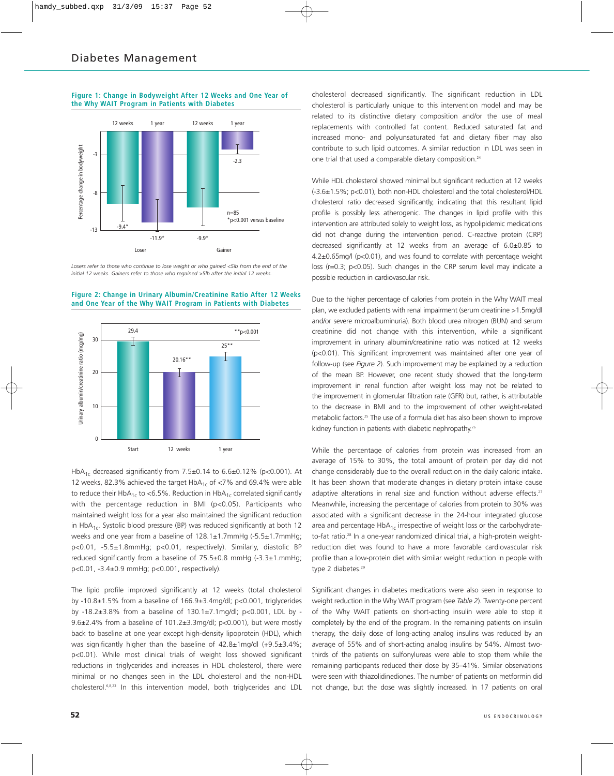



*Losers refer to those who continue to lose weight or who gained <5lb from the end of the initial 12 weeks. Gainers refer to those who regained >5lb after the initial 12 weeks.*



**Figure 2: Change in Urinary Albumin/Creatinine Ratio After 12 Weeks and One Year of the Why WAIT Program in Patients with Diabetes**

HbA<sub>1c</sub> decreased significantly from 7.5±0.14 to 6.6±0.12% (p<0.001). At 12 weeks, 82.3% achieved the target  $HbA_{1c}$  of <7% and 69.4% were able to reduce their HbA<sub>1c</sub> to <6.5%. Reduction in HbA<sub>1c</sub> correlated significantly with the percentage reduction in BMI (p<0.05). Participants who maintained weight loss for a year also maintained the significant reduction in HbA<sub>1c</sub>. Systolic blood pressure (BP) was reduced significantly at both 12 weeks and one year from a baseline of 128.1±1.7mmHg (-5.5±1.7mmHg; p<0.01, -5.5±1.8mmHg; p<0.01, respectively). Similarly, diastolic BP reduced significantly from a baseline of 75.5±0.8 mmHg (-3.3±1.mmHg; p<0.01, -3.4±0.9 mmHg; p<0.001, respectively).

The lipid profile improved significantly at 12 weeks (total cholesterol by -10.8±1.5% from a baseline of 166.9±3.4mg/dl; p<0.001, triglycerides by -18.2±3.8% from a baseline of 130.1±7.1mg/dl; p<0.001, LDL by - 9.6±2.4% from a baseline of 101.2±3.3mg/dl; p<0.001), but were mostly back to baseline at one year except high-density lipoprotein (HDL), which was significantly higher than the baseline of 42.8±1mg/dl (+9.5±3.4%; p<0.01). While most clinical trials of weight loss showed significant reductions in triglycerides and increases in HDL cholesterol, there were minimal or no changes seen in the LDL cholesterol and the non-HDL cholesterol.6,8,23 In this intervention model, both triglycerides and LDL

cholesterol decreased significantly. The significant reduction in LDL cholesterol is particularly unique to this intervention model and may be related to its distinctive dietary composition and/or the use of meal replacements with controlled fat content. Reduced saturated fat and increased mono- and polyunsaturated fat and dietary fiber may also contribute to such lipid outcomes. A similar reduction in LDL was seen in one trial that used a comparable dietary composition.<sup>24</sup>

While HDL cholesterol showed minimal but significant reduction at 12 weeks (-3.6±1.5%; p<0.01), both non-HDL cholesterol and the total cholesterol/HDL cholesterol ratio decreased significantly, indicating that this resultant lipid profile is possibly less atherogenic. The changes in lipid profile with this intervention are attributed solely to weight loss, as hypolipidemic medications did not change during the intervention period. C-reactive protein (CRP) decreased significantly at 12 weeks from an average of 6.0±0.85 to 4.2±0.65mg/l (p<0.01), and was found to correlate with percentage weight loss (r=0.3; p<0.05). Such changes in the CRP serum level may indicate a possible reduction in cardiovascular risk.

Due to the higher percentage of calories from protein in the Why WAIT meal plan, we excluded patients with renal impairment (serum creatinine >1.5mg/dl and/or severe microalbuminuria). Both blood urea nitrogen (BUN) and serum creatinine did not change with this intervention, while a significant improvement in urinary albumin/creatinine ratio was noticed at 12 weeks (p<0.01). This significant improvement was maintained after one year of follow-up (see *Figure 2*). Such improvement may be explained by a reduction of the mean BP. However, one recent study showed that the long-term improvement in renal function after weight loss may not be related to the improvement in glomerular filtration rate (GFR) but, rather, is attributable to the decrease in BMI and to the improvement of other weight-related metabolic factors.25 The use of a formula diet has also been shown to improve kidney function in patients with diabetic nephropathy.<sup>26</sup>

While the percentage of calories from protein was increased from an average of 15% to 30%, the total amount of protein per day did not change considerably due to the overall reduction in the daily caloric intake. It has been shown that moderate changes in dietary protein intake cause adaptive alterations in renal size and function without adverse effects.<sup>27</sup> Meanwhile, increasing the percentage of calories from protein to 30% was associated with a significant decrease in the 24-hour integrated glucose area and percentage  $HbA_{1c}$  irrespective of weight loss or the carbohydrateto-fat ratio.<sup>28</sup> In a one-year randomized clinical trial, a high-protein weightreduction diet was found to have a more favorable cardiovascular risk profile than a low-protein diet with similar weight reduction in people with type 2 diabetes.<sup>29</sup>

Significant changes in diabetes medications were also seen in response to weight reduction in the Why WAIT program (see *Table 2*). Twenty-one percent of the Why WAIT patients on short-acting insulin were able to stop it completely by the end of the program. In the remaining patients on insulin therapy, the daily dose of long-acting analog insulins was reduced by an average of 55% and of short-acting analog insulins by 54%. Almost twothirds of the patients on sulfonylureas were able to stop them while the remaining participants reduced their dose by 35–41%. Similar observations were seen with thiazolidinediones. The number of patients on metformin did not change, but the dose was slightly increased. In 17 patients on oral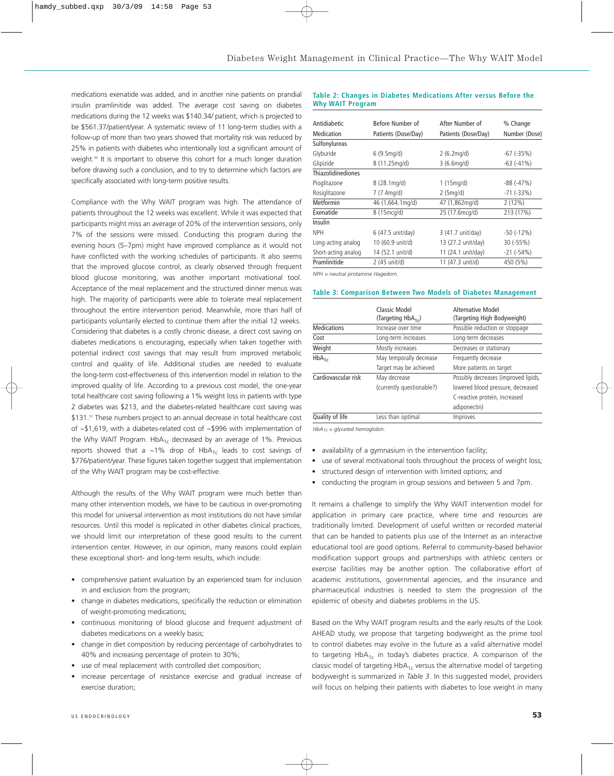medications exenatide was added, and in another nine patients on prandial insulin pramlinitide was added. The average cost saving on diabetes medications during the 12 weeks was \$140.34/ patient, which is projected to be \$561.37/patient/year. A systematic review of 11 long-term studies with a follow-up of more than two years showed that mortality risk was reduced by 25% in patients with diabetes who intentionally lost a significant amount of weight.<sup>30</sup> It is important to observe this cohort for a much longer duration before drawing such a conclusion, and to try to determine which factors are specifically associated with long-term positive results.

Compliance with the Why WAIT program was high. The attendance of patients throughout the 12 weeks was excellent. While it was expected that participants might miss an average of 20% of the intervention sessions, only 7% of the sessions were missed. Conducting this program during the evening hours (5–7pm) might have improved compliance as it would not have conflicted with the working schedules of participants. It also seems that the improved glucose control, as clearly observed through frequent blood glucose monitoring, was another important motivational tool. Acceptance of the meal replacement and the structured dinner menus was high. The majority of participants were able to tolerate meal replacement throughout the entire intervention period. Meanwhile, more than half of participants voluntarily elected to continue them after the initial 12 weeks. Considering that diabetes is a costly chronic disease, a direct cost saving on diabetes medications is encouraging, especially when taken together with potential indirect cost savings that may result from improved metabolic control and quality of life. Additional studies are needed to evaluate the long-term cost-effectiveness of this intervention model in relation to the improved quality of life. According to a previous cost model, the one-year total healthcare cost saving following a 1% weight loss in patients with type 2 diabetes was \$213, and the diabetes-related healthcare cost saving was \$131.<sup>31</sup> These numbers project to an annual decrease in total healthcare cost of ~\$1,619, with a diabetes-related cost of ~\$996 with implementation of the Why WAIT Program.  $HbA_{1c}$  decreased by an average of 1%. Previous reports showed that a ~1% drop of HbA<sub>1c</sub> leads to cost savings of \$776/patient/year. These figures taken together suggest that implementation of the Why WAIT program may be cost-effective.

Although the results of the Why WAIT program were much better than many other intervention models, we have to be cautious in over-promoting this model for universal intervention as most institutions do not have similar resources. Until this model is replicated in other diabetes clinical practices, we should limit our interpretation of these good results to the current intervention center. However, in our opinion, many reasons could explain these exceptional short- and long-term results, which include:

- comprehensive patient evaluation by an experienced team for inclusion in and exclusion from the program;
- change in diabetes medications, specifically the reduction or elimination of weight-promoting medications;
- continuous monitoring of blood glucose and frequent adjustment of diabetes medications on a weekly basis;
- change in diet composition by reducing percentage of carbohydrates to 40% and increasing percentage of protein to 30%;
- use of meal replacement with controlled diet composition;
- increase percentage of resistance exercise and gradual increase of exercise duration;

# **Table 2: Changes in Diabetes Medications After versus Before the Why WAIT Program**

| Antidiabetic<br>Medication | Before Number of<br>Patients (Dose/Day) | After Number of<br>Patients (Dose/Day) | % Change<br>Number (Dose) |
|----------------------------|-----------------------------------------|----------------------------------------|---------------------------|
| Sulfonylureas              |                                         |                                        |                           |
| Glyburide                  | 6(9.5mq/d)                              | $2(6.2 \text{mg/d})$                   | $-67$ ( $-35\%$ )         |
| Glipizide                  | 8 (11.25mg/d)                           | 3(6.6mg/d)                             | $-63$ $(-41\%)$           |
| <b>Thiazolidinediones</b>  |                                         |                                        |                           |
| Pioglitazone               | $8(28.1 \text{mg/d})$                   | 1(15mg/d)                              | $-88(-47%)$               |
| Rosiglitazone              | $7(7.4 \text{mg/d})$                    | 2 (5mg/d)                              | $-71$ ( $-33\%$ )         |
| Metformin                  | 46 (1,664.1mg/d)                        | 47 (1,862mg/d)                         | $2(12\%)$                 |
| <b>Exenatide</b>           | 8 (15mcg/d)                             | 25 (17.6mcg/d)                         | 213 (17%)                 |
| Insulin                    |                                         |                                        |                           |
| <b>NPH</b>                 | 6 (47.5 unit/day)                       | 3 (41.7 unit/day)                      | $-50$ ( $-12\%$ )         |
| Long-acting analog         | 10 (60.9 unit/d)                        | 13 (27.2 unit/day)                     | $30(-55%)$                |
| Short-acting analog        | 14 (52.1 unit/d)                        | 11 (24.1 unit/day)                     | $-21$ ( $-54\%$ )         |
| Pramlinitide               | 2 (45 unit/d)                           | 11 (47.3 unit/d)                       | 450 (5%)                  |

*NPH = neutral protamine Hagedorn.*

## **Table 3: Comparison Between Two Models of Diabetes Management**

|                     | Classic Model<br>(Targeting $HbA_{1c}$ ) | <b>Alternative Model</b><br>(Targeting High Bodyweight) |
|---------------------|------------------------------------------|---------------------------------------------------------|
| <b>Medications</b>  | Increase over time                       | Possible reduction or stoppage                          |
| Cost                | Long-term increases                      | Long-term decreases                                     |
| Weight              | Mostly increases                         | Decreases or stationary                                 |
| $HbA_{1c}$          | May temporally decrease                  | Frequently decrease                                     |
|                     | Target may be achieved                   | More patients on target                                 |
| Cardiovascular risk | May decrease                             | Possibly decreases (improved lipids,                    |
|                     | (currently questionable?)                | lowered blood pressure, decreased                       |
|                     |                                          | C-reactive protein, increased                           |
|                     |                                          | adiponectin)                                            |
| Quality of life     | Less than optimal                        | Improves                                                |

*HbA1c = glycated hemoglobin.*

- availability of a gymnasium in the intervention facility;
- use of several motivational tools throughout the process of weight loss;
- structured design of intervention with limited options; and
- conducting the program in group sessions and between 5 and 7pm.

It remains a challenge to simplify the Why WAIT intervention model for application in primary care practice, where time and resources are traditionally limited. Development of useful written or recorded material that can be handed to patients plus use of the Internet as an interactive educational tool are good options. Referral to community-based behavior modification support groups and partnerships with athletic centers or exercise facilities may be another option. The collaborative effort of academic institutions, governmental agencies, and the insurance and pharmaceutical industries is needed to stem the progression of the epidemic of obesity and diabetes problems in the US.

Based on the Why WAIT program results and the early results of the Look AHEAD study, we propose that targeting bodyweight as the prime tool to control diabetes may evolve in the future as a valid alternative model to targeting  $HbA_{1c}$  in today's diabetes practice. A comparison of the classic model of targeting  $HbA_{1c}$  versus the alternative model of targeting bodyweight is summarized in *Table 3*. In this suggested model, providers will focus on helping their patients with diabetes to lose weight in many